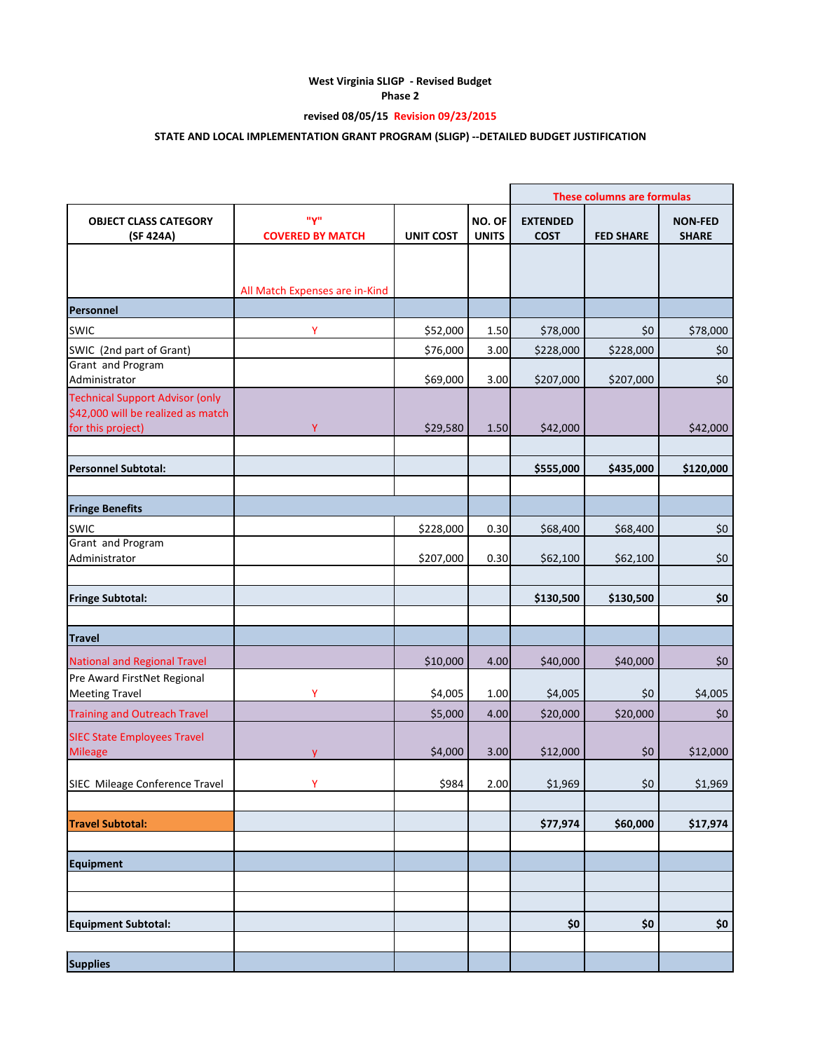# **West Virginia SLIGP - Revised Budget**

**Phase 2**

## **revised 08/05/15 Revision 09/23/2015**

## **STATE AND LOCAL IMPLEMENTATION GRANT PROGRAM (SLIGP) --DETAILED BUDGET JUSTIFICATION**

|                                                                                                   |                                |                  |                        |                                | <b>These columns are formulas</b> |                                |
|---------------------------------------------------------------------------------------------------|--------------------------------|------------------|------------------------|--------------------------------|-----------------------------------|--------------------------------|
| <b>OBJECT CLASS CATEGORY</b><br>(SF 424A)                                                         | "Y"<br><b>COVERED BY MATCH</b> | <b>UNIT COST</b> | NO. OF<br><b>UNITS</b> | <b>EXTENDED</b><br><b>COST</b> | <b>FED SHARE</b>                  | <b>NON-FED</b><br><b>SHARE</b> |
|                                                                                                   |                                |                  |                        |                                |                                   |                                |
|                                                                                                   | All Match Expenses are in-Kind |                  |                        |                                |                                   |                                |
| Personnel                                                                                         |                                |                  |                        |                                |                                   |                                |
| <b>SWIC</b>                                                                                       | Y                              | \$52,000         | 1.50                   | \$78,000                       | \$0                               | \$78,000                       |
| SWIC (2nd part of Grant)                                                                          |                                | \$76,000         | 3.00                   | \$228,000                      | \$228,000                         | \$0                            |
| Grant and Program<br>Administrator                                                                |                                | \$69,000         | 3.00                   | \$207,000                      | \$207,000                         | \$0                            |
| <b>Technical Support Advisor (only</b><br>\$42,000 will be realized as match<br>for this project) | Ÿ                              | \$29,580         | 1.50                   | \$42,000                       |                                   | \$42,000                       |
| <b>Personnel Subtotal:</b>                                                                        |                                |                  |                        | \$555,000                      | \$435,000                         | \$120,000                      |
|                                                                                                   |                                |                  |                        |                                |                                   |                                |
| <b>Fringe Benefits</b>                                                                            |                                |                  |                        |                                |                                   |                                |
| <b>SWIC</b><br>Grant and Program                                                                  |                                | \$228,000        | 0.30                   | \$68,400                       | \$68,400                          | \$0                            |
| Administrator                                                                                     |                                | \$207,000        | 0.30                   | \$62,100                       | \$62,100                          | \$0                            |
| <b>Fringe Subtotal:</b>                                                                           |                                |                  |                        | \$130,500                      | \$130,500                         | \$0                            |
| <b>Travel</b>                                                                                     |                                |                  |                        |                                |                                   |                                |
| <b>National and Regional Travel</b>                                                               |                                | \$10,000         | 4.00                   | \$40,000                       | \$40,000                          | \$0                            |
| Pre Award FirstNet Regional<br><b>Meeting Travel</b>                                              | Ÿ                              | \$4,005          | 1.00                   | \$4,005                        | \$0                               | \$4,005                        |
| <b>Training and Outreach Travel</b>                                                               |                                | \$5,000          | 4.00                   | \$20,000                       | \$20,000                          | \$0                            |
| <b>SIEC State Employees Travel</b><br><b>Mileage</b>                                              | v                              | \$4,000          | 3.00                   | \$12,000                       | \$0                               | \$12,000                       |
| SIEC Mileage Conference Travel                                                                    | Y                              | \$984            | 2.00                   | \$1,969                        | \$0                               | \$1,969                        |
| <b>Travel Subtotal:</b>                                                                           |                                |                  |                        | \$77,974                       | \$60,000                          | \$17,974                       |
|                                                                                                   |                                |                  |                        |                                |                                   |                                |
| <b>Equipment</b>                                                                                  |                                |                  |                        |                                |                                   |                                |
|                                                                                                   |                                |                  |                        |                                |                                   |                                |
| <b>Equipment Subtotal:</b>                                                                        |                                |                  |                        | \$0                            | \$0\$                             | \$0                            |
| <b>Supplies</b>                                                                                   |                                |                  |                        |                                |                                   |                                |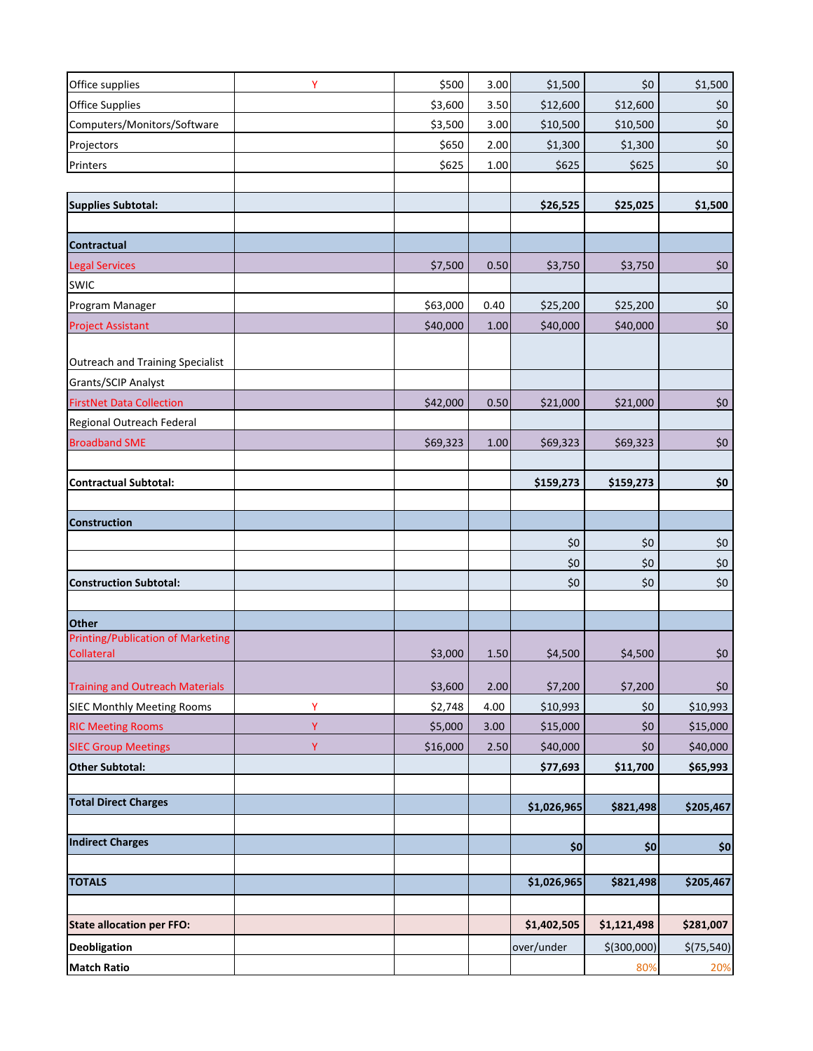| Office supplies                                        | Y | \$500    | 3.00 | \$1,500     | \$0         | \$1,500    |
|--------------------------------------------------------|---|----------|------|-------------|-------------|------------|
| <b>Office Supplies</b>                                 |   | \$3,600  | 3.50 | \$12,600    | \$12,600    | \$0\$      |
| Computers/Monitors/Software                            |   | \$3,500  | 3.00 | \$10,500    | \$10,500    | $$0$$      |
| Projectors                                             |   | \$650    | 2.00 | \$1,300     | \$1,300     | \$0        |
| Printers                                               |   | \$625    | 1.00 | \$625       | \$625       | \$0        |
|                                                        |   |          |      |             |             |            |
| <b>Supplies Subtotal:</b>                              |   |          |      | \$26,525    | \$25,025    | \$1,500    |
|                                                        |   |          |      |             |             |            |
| Contractual                                            |   |          |      |             |             |            |
| <b>Legal Services</b>                                  |   | \$7,500  | 0.50 | \$3,750     | \$3,750     | \$0        |
| <b>SWIC</b>                                            |   |          |      |             |             |            |
| Program Manager                                        |   | \$63,000 | 0.40 | \$25,200    | \$25,200    | \$0\$      |
| <b>Project Assistant</b>                               |   | \$40,000 | 1.00 | \$40,000    | \$40,000    | $$0$$      |
|                                                        |   |          |      |             |             |            |
| Outreach and Training Specialist                       |   |          |      |             |             |            |
| Grants/SCIP Analyst                                    |   |          |      |             |             |            |
| <b>FirstNet Data Collection</b>                        |   | \$42,000 | 0.50 | \$21,000    | \$21,000    | \$0\$      |
| Regional Outreach Federal                              |   |          |      |             |             |            |
| <b>Broadband SME</b>                                   |   | \$69,323 | 1.00 | \$69,323    | \$69,323    | $$0$$      |
|                                                        |   |          |      |             |             |            |
| <b>Contractual Subtotal:</b>                           |   |          |      | \$159,273   | \$159,273   | \$0        |
|                                                        |   |          |      |             |             |            |
| <b>Construction</b>                                    |   |          |      |             |             |            |
|                                                        |   |          |      | \$0         | \$0         | \$0        |
|                                                        |   |          |      | \$0         | \$0         | \$0        |
| <b>Construction Subtotal:</b>                          |   |          |      | \$0         | \$0         | \$0        |
|                                                        |   |          |      |             |             |            |
| <b>Other</b>                                           |   |          |      |             |             |            |
| <b>Printing/Publication of Marketing</b><br>Collateral |   | \$3,000  | 1.50 | \$4,500     | \$4,500     | \$0\$      |
|                                                        |   |          |      |             |             |            |
| <b>Training and Outreach Materials</b>                 |   | \$3,600  | 2.00 | \$7,200     | \$7,200     | \$0        |
| <b>SIEC Monthly Meeting Rooms</b>                      | Ÿ | \$2,748  | 4.00 | \$10,993    | \$0         | \$10,993   |
| <b>RIC Meeting Rooms</b>                               | Y | \$5,000  | 3.00 | \$15,000    | \$0         | \$15,000   |
| <b>SIEC Group Meetings</b>                             | Ÿ | \$16,000 | 2.50 | \$40,000    | \$0         | \$40,000   |
| <b>Other Subtotal:</b>                                 |   |          |      | \$77,693    | \$11,700    | \$65,993   |
|                                                        |   |          |      |             |             |            |
| <b>Total Direct Charges</b>                            |   |          |      | \$1,026,965 | \$821,498   | \$205,467  |
|                                                        |   |          |      |             |             |            |
| <b>Indirect Charges</b>                                |   |          |      | \$0         | 50          | \$0        |
|                                                        |   |          |      |             |             |            |
| <b>TOTALS</b>                                          |   |          |      | \$1,026,965 | \$821,498   | \$205,467  |
|                                                        |   |          |      |             |             |            |
| <b>State allocation per FFO:</b>                       |   |          |      | \$1,402,505 | \$1,121,498 | \$281,007  |
| <b>Deobligation</b>                                    |   |          |      | over/under  | \$(300,000) | \$(75,540) |
| <b>Match Ratio</b>                                     |   |          |      |             | 80%         | 20%        |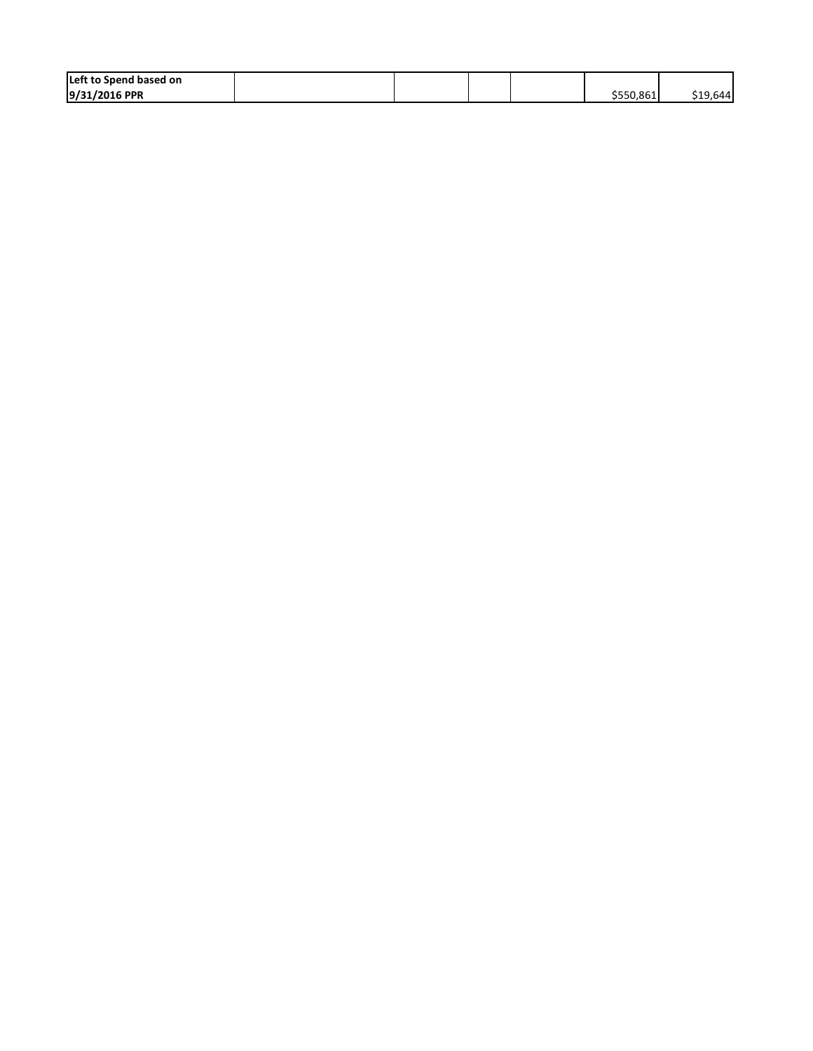| Left to Spend based on |  |  |           |          |
|------------------------|--|--|-----------|----------|
| 9/31/2016 PPR          |  |  | \$550.861 | \$19,644 |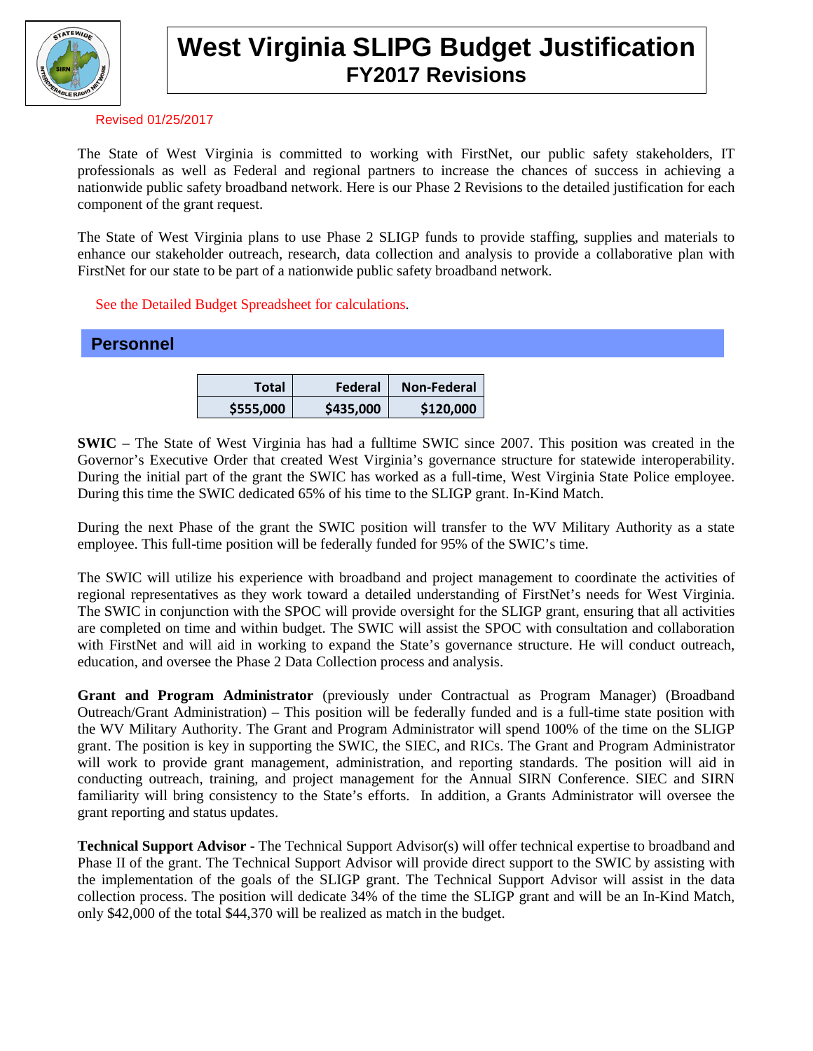

# **West Virginia SLIPG Budget Justification FY2017 Revisions**

#### Revised 01/25/2017

The State of West Virginia is committed to working with FirstNet, our public safety stakeholders, IT professionals as well as Federal and regional partners to increase the chances of success in achieving a nationwide public safety broadband network. Here is our Phase 2 Revisions to the detailed justification for each component of the grant request.

The State of West Virginia plans to use Phase 2 SLIGP funds to provide staffing, supplies and materials to enhance our stakeholder outreach, research, data collection and analysis to provide a collaborative plan with FirstNet for our state to be part of a nationwide public safety broadband network.

#### See the Detailed Budget Spreadsheet for calculations.

| <b>Personnel</b> |              |           |             |
|------------------|--------------|-----------|-------------|
|                  |              |           |             |
|                  | <b>Total</b> | Federal   | Non-Federal |
|                  | \$555,000    | \$435,000 | \$120,000   |

**SWIC** – The State of West Virginia has had a fulltime SWIC since 2007. This position was created in the Governor's Executive Order that created West Virginia's governance structure for statewide interoperability. During the initial part of the grant the SWIC has worked as a full-time, West Virginia State Police employee. During this time the SWIC dedicated 65% of his time to the SLIGP grant. In-Kind Match.

During the next Phase of the grant the SWIC position will transfer to the WV Military Authority as a state employee. This full-time position will be federally funded for 95% of the SWIC's time.

The SWIC will utilize his experience with broadband and project management to coordinate the activities of regional representatives as they work toward a detailed understanding of FirstNet's needs for West Virginia. The SWIC in conjunction with the SPOC will provide oversight for the SLIGP grant, ensuring that all activities are completed on time and within budget. The SWIC will assist the SPOC with consultation and collaboration with FirstNet and will aid in working to expand the State's governance structure. He will conduct outreach, education, and oversee the Phase 2 Data Collection process and analysis.

**Grant and Program Administrator** (previously under Contractual as Program Manager) (Broadband Outreach/Grant Administration) – This position will be federally funded and is a full-time state position with the WV Military Authority. The Grant and Program Administrator will spend 100% of the time on the SLIGP grant. The position is key in supporting the SWIC, the SIEC, and RICs. The Grant and Program Administrator will work to provide grant management, administration, and reporting standards. The position will aid in conducting outreach, training, and project management for the Annual SIRN Conference. SIEC and SIRN familiarity will bring consistency to the State's efforts. In addition, a Grants Administrator will oversee the grant reporting and status updates.

**Technical Support Advisor** - The Technical Support Advisor(s) will offer technical expertise to broadband and Phase II of the grant. The Technical Support Advisor will provide direct support to the SWIC by assisting with the implementation of the goals of the SLIGP grant. The Technical Support Advisor will assist in the data collection process. The position will dedicate 34% of the time the SLIGP grant and will be an In-Kind Match, only \$42,000 of the total \$44,370 will be realized as match in the budget.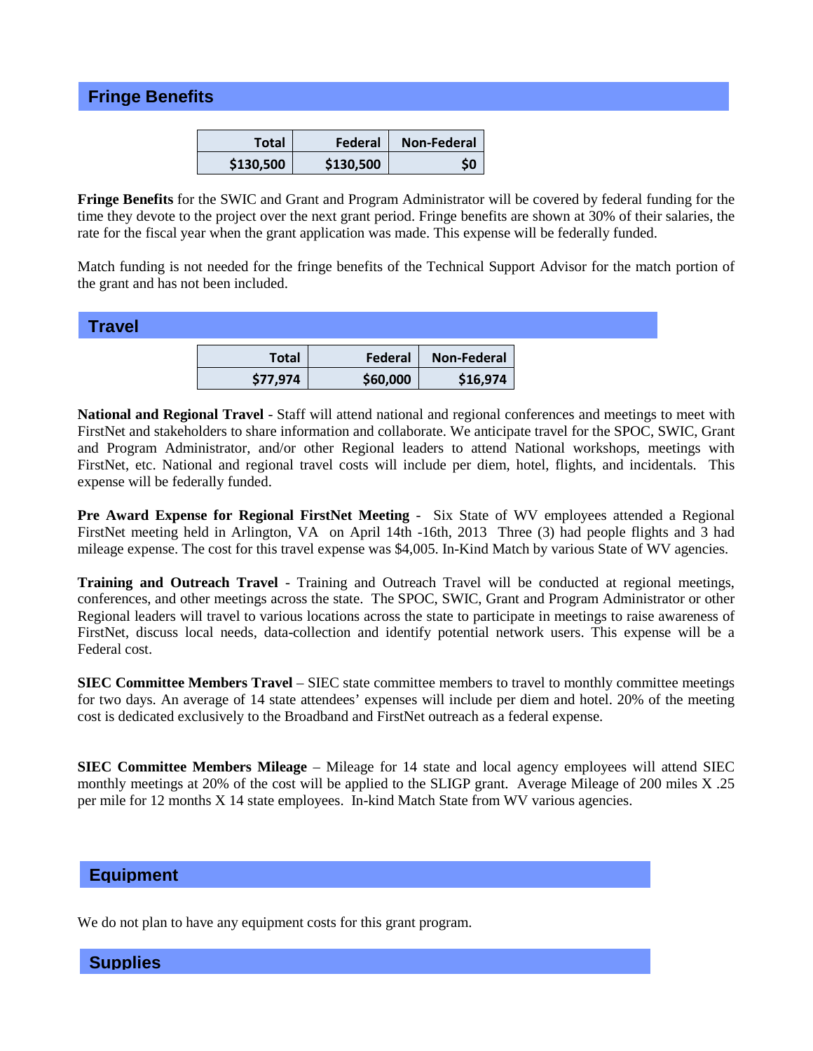## **Fringe Benefits**

| Total     | Federal   | <b>Non-Federal</b> |
|-----------|-----------|--------------------|
| \$130,500 | \$130.500 |                    |

**Fringe Benefits** for the SWIC and Grant and Program Administrator will be covered by federal funding for the time they devote to the project over the next grant period. Fringe benefits are shown at 30% of their salaries, the rate for the fiscal year when the grant application was made. This expense will be federally funded.

Match funding is not needed for the fringe benefits of the Technical Support Advisor for the match portion of the grant and has not been included.

### **Travel**

| Total    | Federal  | <b>Non-Federal</b> |
|----------|----------|--------------------|
| \$77,974 | \$60,000 | \$16,974           |

**National and Regional Travel** - Staff will attend national and regional conferences and meetings to meet with FirstNet and stakeholders to share information and collaborate. We anticipate travel for the SPOC, SWIC, Grant and Program Administrator, and/or other Regional leaders to attend National workshops, meetings with FirstNet, etc. National and regional travel costs will include per diem, hotel, flights, and incidentals. This expense will be federally funded.

**Pre Award Expense for Regional FirstNet Meeting -** Six State of WV employees attended a Regional FirstNet meeting held in Arlington, VA on April 14th -16th, 2013 Three (3) had people flights and 3 had mileage expense. The cost for this travel expense was \$4,005. In-Kind Match by various State of WV agencies.

**Training and Outreach Travel** - Training and Outreach Travel will be conducted at regional meetings, conferences, and other meetings across the state. The SPOC, SWIC, Grant and Program Administrator or other Regional leaders will travel to various locations across the state to participate in meetings to raise awareness of FirstNet, discuss local needs, data-collection and identify potential network users. This expense will be a Federal cost.

**SIEC Committee Members Travel** – SIEC state committee members to travel to monthly committee meetings for two days. An average of 14 state attendees' expenses will include per diem and hotel. 20% of the meeting cost is dedicated exclusively to the Broadband and FirstNet outreach as a federal expense.

**SIEC Committee Members Mileage** – Mileage for 14 state and local agency employees will attend SIEC monthly meetings at 20% of the cost will be applied to the SLIGP grant. Average Mileage of 200 miles X .25 per mile for 12 months X 14 state employees. In-kind Match State from WV various agencies.

#### **Equipment**

We do not plan to have any equipment costs for this grant program.

**Supplies**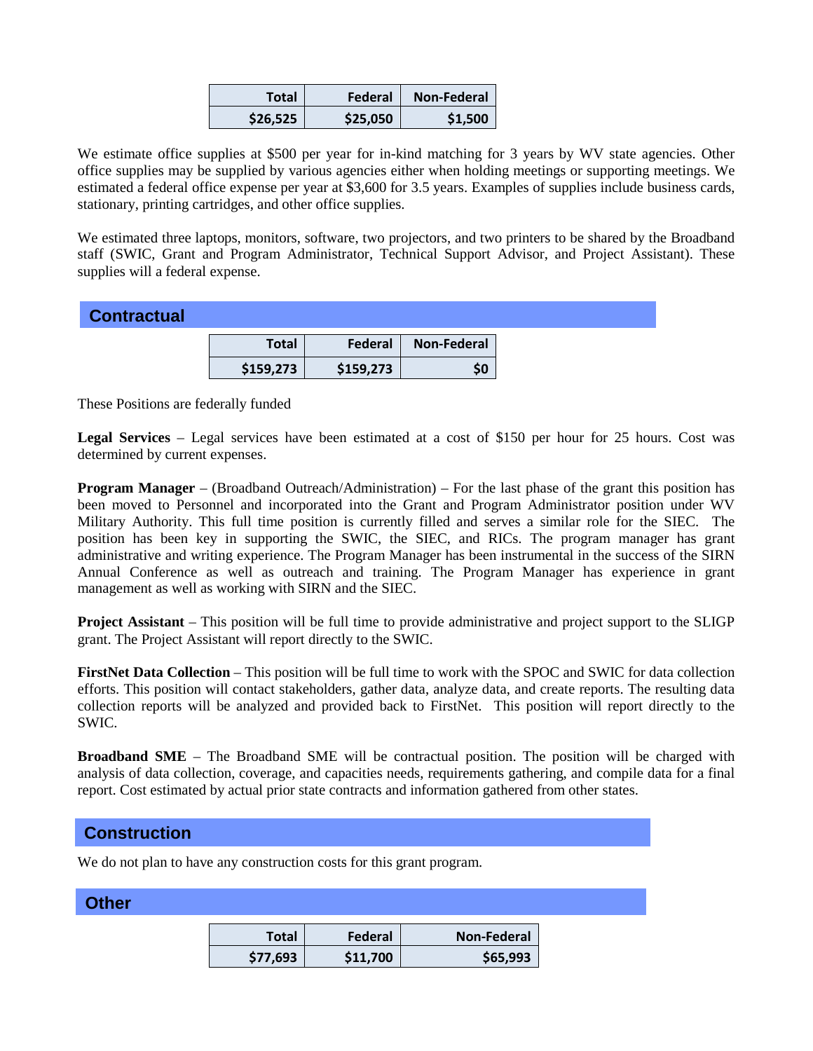| Total    | Federal  | <b>Non-Federal</b> |
|----------|----------|--------------------|
| \$26.525 | \$25,050 | \$1,500            |

We estimate office supplies at \$500 per year for in-kind matching for 3 years by WV state agencies. Other office supplies may be supplied by various agencies either when holding meetings or supporting meetings. We estimated a federal office expense per year at \$3,600 for 3.5 years. Examples of supplies include business cards, stationary, printing cartridges, and other office supplies.

We estimated three laptops, monitors, software, two projectors, and two printers to be shared by the Broadband staff (SWIC, Grant and Program Administrator, Technical Support Advisor, and Project Assistant). These supplies will a federal expense.

|  | <b>Contractual</b> |
|--|--------------------|
|--|--------------------|

| Total     | Federal   | Non-Federal |
|-----------|-----------|-------------|
| \$159,273 | \$159,273 |             |

These Positions are federally funded

**Legal Services** – Legal services have been estimated at a cost of \$150 per hour for 25 hours. Cost was determined by current expenses.

**Program Manager** – (Broadband Outreach/Administration) – For the last phase of the grant this position has been moved to Personnel and incorporated into the Grant and Program Administrator position under WV Military Authority. This full time position is currently filled and serves a similar role for the SIEC. The position has been key in supporting the SWIC, the SIEC, and RICs. The program manager has grant administrative and writing experience. The Program Manager has been instrumental in the success of the SIRN Annual Conference as well as outreach and training. The Program Manager has experience in grant management as well as working with SIRN and the SIEC.

**Project Assistant** – This position will be full time to provide administrative and project support to the SLIGP grant. The Project Assistant will report directly to the SWIC.

**FirstNet Data Collection** – This position will be full time to work with the SPOC and SWIC for data collection efforts. This position will contact stakeholders, gather data, analyze data, and create reports. The resulting data collection reports will be analyzed and provided back to FirstNet. This position will report directly to the SWIC.

**Broadband SME** – The Broadband SME will be contractual position. The position will be charged with analysis of data collection, coverage, and capacities needs, requirements gathering, and compile data for a final report. Cost estimated by actual prior state contracts and information gathered from other states.

## **Construction**

We do not plan to have any construction costs for this grant program.

| <b>Other</b> |              |          |                    |
|--------------|--------------|----------|--------------------|
|              | <b>Total</b> | Federal  | <b>Non-Federal</b> |
|              | \$77,693     | \$11,700 | \$65,993           |